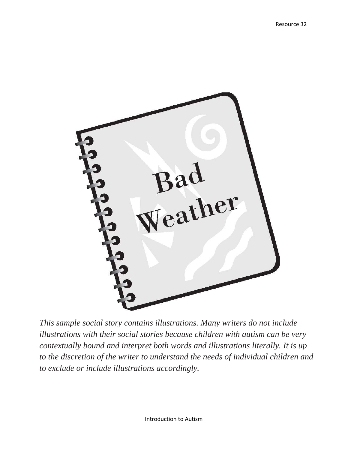

*This sample social story contains illustrations. Many writers do not include illustrations with their social stories because children with autism can be very contextually bound and interpret both words and illustrations literally. It is up to the discretion of the writer to understand the needs of individual children and to exclude or include illustrations accordingly.*

Introduction to Autism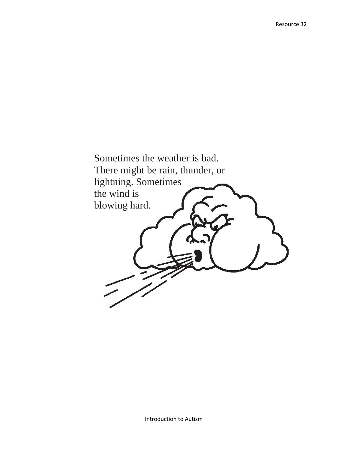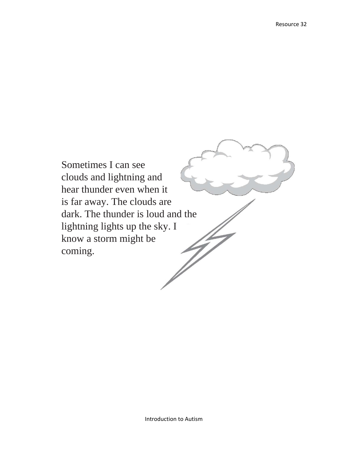Sometimes I can see clouds and lightning and hear thunder even when it is far away. The clouds are dark. The thunder is loud and the lightning lights up the sky. I know a storm might be coming.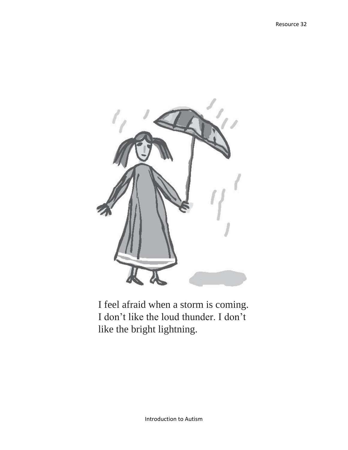

I feel afraid when a storm is coming. I don't like the loud thunder. I don't like the bright lightning.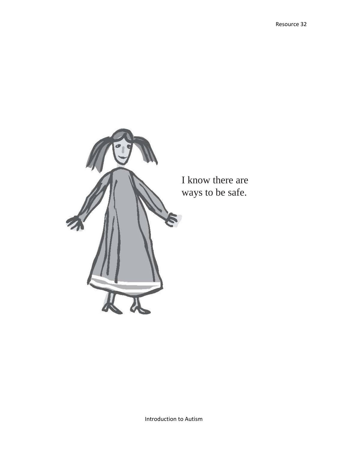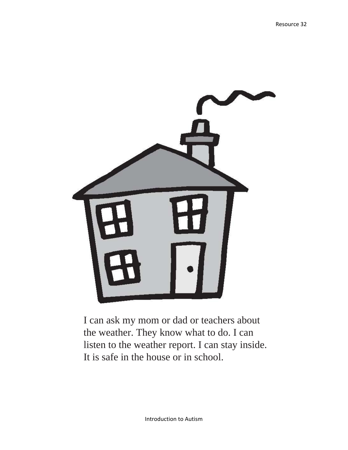

I can ask my mom or dad or teachers about the weather. They know what to do. I can listen to the weather report. I can stay inside. It is safe in the house or in school.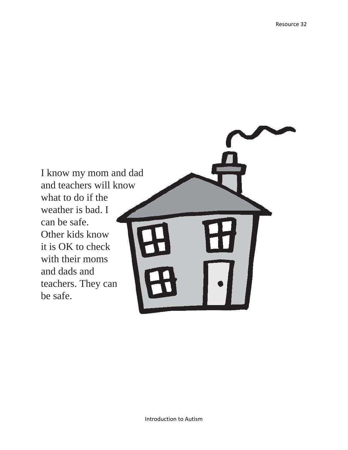I know my mom and dad and teachers will know what to do if the weather is bad. I can be safe. Other kids know it is OK to check with their moms and dads and teachers. They can be safe.